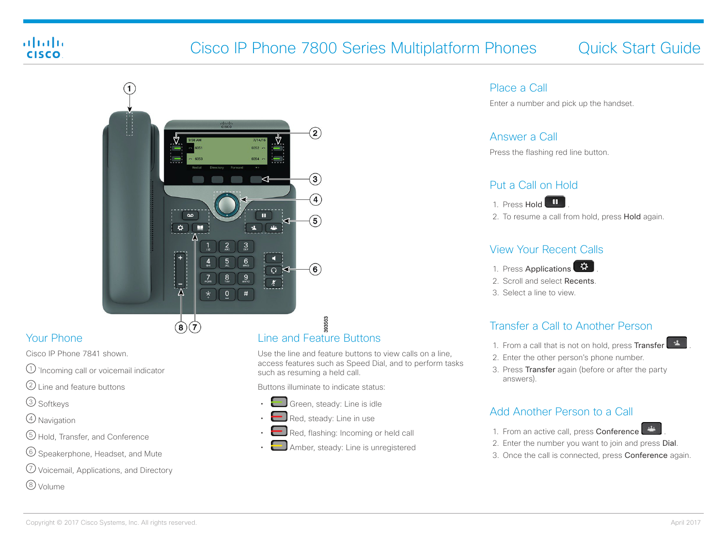## almha **CISCO**

# Cisco IP Phone 7800 Series Multiplatform Phones Quick Start Guide



# Your Phone

Cisco IP Phone 7841 shown.

- $(1)$  `Incoming call or voicemail indicator
- $(2)$  Line and feature buttons
- 3 Softkeys
- 4 Navigation
- 5 Hold, Transfer, and Conference
- 6 Speakerphone, Headset, and Mute
- 7 Voicemail, Applications, and Directory

8 Volume

# Line and Feature Buttons

Use the line and feature buttons to view calls on a line, access features such as Speed Dial, and to perform tasks such as resuming a held call.

Buttons illuminate to indicate status:

- Green, steady: Line is idle
- Red, steady: Line in use
- Red, flashing: Incoming or held call
- Amber, steady: Line is unregistered

#### Place a Call

Enter a number and pick up the handset.

#### Answer a Call

Press the flashing red line button.

#### Put a Call on Hold



2. To resume a call from hold, press Hold again.

#### View Your Recent Calls

- 1. Press Applications
- 2. Scroll and select Recents.
- 3. Select a line to view.

# Transfer a Call to Another Person

- 1. From a call that is not on hold, press Transfer
- 2. Enter the other person's phone number.
- 3. Press Transfer again (before or after the party answers).

### Add Another Person to a Call



- 2. Enter the number you want to join and press Dial.
- 3. Once the call is connected, press Conference again.